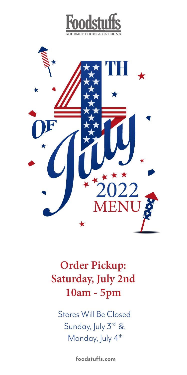



## **Order Pickup: Saturday, July 2nd 10am - 5pm**

Stores Will Be Closed Sunday, July 3rd & Monday, July 4<sup>th</sup>

**foodstuffs.com**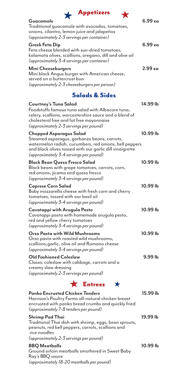| <b>Appetizers</b> |
|-------------------|
|                   |



| × |  |
|---|--|

#### Traditional guacamole with avocados, tomatoes, onions, cilantro, lemon juice and jalapeños *(approximately 2-3 servings per container)* **Greek Feta Dip 6.99 ea** Feta cheese blended with sun-dried tomatoes, kalamata olives, scallions, oregano, dill and olive oil *(approximately 3-4 servings per container)* **Mini Cheeseburgers 2.99 ea** Mini black Angus burger with American cheese, served on a buttercrust bun

*(approximately 2-3 cheeseburgers per person)* 

Guacamole

### Salads & Sides

| Courtney's Tuna Salad<br>Foodstuffs famous tuna salad with Albacore tuna,<br>celery, scallions, worcestershire sauce and a blend of<br>cholesterol free and fat free mayonnaise<br>(approximately 2-3 servings per pound)              | 14.99 lb |
|----------------------------------------------------------------------------------------------------------------------------------------------------------------------------------------------------------------------------------------|----------|
| Chopped Asparagus Salad<br>Steamed asparagus, garbanzo beans, carrots,<br>watermelon radish, cucumbers, red onions, bell peppers<br>and black olives tossed with our garlic dill vinaigrette<br>(approximately 3-4 servings per pound) | 10.99 lb |
| Black Bean Queso Fresco Salad<br>Black beans with grape tomatoes, carrots, corn,<br>red onions, jicama and queso fresco<br>(approximately 3-4 servings per pound)                                                                      | 10.99 lb |
| <b>Caprese Corn Salad</b><br>Baby mozzarella cheese with fresh corn and cherry<br>tomatoes, tossed with our basil oil<br>(approximately 3-4 servings per pound)                                                                        | 10.99 lb |
| Cavatappi with Arugula Pesto<br>Cavatappi pasta with homemade arugula pesto,<br>red and yellow cherry tomatoes<br>(approximately 3-4 servings per pound)                                                                               | 10.99 lb |
| Orzo Pasta with Wild Mushrooms<br>Orzo pasta with roasted wild mushrooms,<br>scallions,garlic, olive oil and Romano cheese<br>(approximately 3-4 servings per pound)                                                                   | 10.99 lb |
| <b>Old Fashioned Coleslaw</b><br>Classic coleslaw with cabbage, carrots and a<br>creamy slaw dressing<br>(approximately 2-3 servings per pound)                                                                                        | 9.99 lb  |
| $\bigstar$ Entrees<br>$\blacktriangleright$                                                                                                                                                                                            |          |
| <b>Panko Encrusted Chicken Tenders</b><br>Harrison's Poultry Farms all-natural chicken breast<br>encrusted with panko bread crumbs and quickly fried<br>(approximately 7-8 tenders per pound)                                          | 15.99 lb |
| <b>Shrimp Pad Thai</b><br>Traditonal Thai dish with shrimp, eggs, bean sprouts,<br>peanuts, red bell peppers, carrots, scallions and<br>rice noodles<br>(approximately 2-3 servings per pound)                                         | 19.99 lb |
| <b>BBQ</b> Meatballs<br>Ground sirloin meatballs smothered in Sweet Baby<br>Ray's BBQ sauce<br>(approximately 18-20 meatballs per pound)                                                                                               | 10.99 lb |
|                                                                                                                                                                                                                                        |          |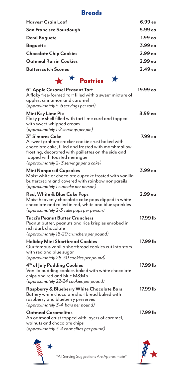### Breads

| Harvest Grain Loaf                                                                                                                                                                                                                                         | 6.99 ea            |
|------------------------------------------------------------------------------------------------------------------------------------------------------------------------------------------------------------------------------------------------------------|--------------------|
| San Francisco Sourdough                                                                                                                                                                                                                                    | 5.99 ea            |
| Demi Baguete                                                                                                                                                                                                                                               | 1.99 <sub>ea</sub> |
| <b>Baguette</b>                                                                                                                                                                                                                                            | 3.99 <sub>ea</sub> |
| <b>Chocolate Chip Cookies</b>                                                                                                                                                                                                                              | 2.99 <sub>ea</sub> |
| Oatmeal Raisin Cookies                                                                                                                                                                                                                                     | 2.99 <sub>ea</sub> |
| <b>Butterscotch Scones</b>                                                                                                                                                                                                                                 | 2.49 <sub>ea</sub> |
| $\star$ * Pastries                                                                                                                                                                                                                                         |                    |
| 6" Apple Caramel Peasant Tart<br>A flaky free-formed tart filled with a sweet mixture of<br>apples, cinnamon and caramel<br>(approximately 5-6 servings per tart)                                                                                          | 19.99 ea           |
| Mini Key Lime Pie<br>Flaky pie shell filled with tart lime curd and topped<br>with sweet whipped cream<br>(approximately 1-2 servings per pie)                                                                                                             | 8.99 <sub>ea</sub> |
| 3" S'mores Cake<br>A sweet graham cracker cookie crust baked with<br>chocolate cake, filled and frosted with marshmallow<br>frosting, decorated with paillettes on the side and<br>topped with toasted meringue<br>(approximately 2-3 servings per a cake) | 7.99 еа            |
| Mini Nonpareil Cupcakes<br>Moist white or chocolate cupcake frosted with vanilla<br>buttercream and covered with rainbow nonpareils<br>(approximately l cupcake per person)                                                                                | 3.99 ea            |
| <b>Red, White &amp; Blue Cake Pops</b><br>Moist heavenly chocolate cake pops dipped in white<br>chocolate and rolled in red, white and blue sprinkles<br>(approximately 2-3 cake pops per person)                                                          | 2.99 <sub>ea</sub> |
| Tucci's Peanut Butter Crunchers<br>Peanut butter, peanuts and rice krispies enrobed in<br>rich dark chocolate<br>(approximately 18-20 crunchers per pound)                                                                                                 | 17.99 lb           |
| Holiday Mini Shortbread Cookies<br>Our famous vanilla shortbread cookies cut into stars<br>with red and blue sugar<br>(approximately 28-30 cookies per pound)                                                                                              | 17.99 lb           |
| 4 <sup>th</sup> of July Pudding Cookies<br>Vanilla pudding cookies baked with white chocolate<br>chips and red and blue M&M's<br>(approximately 22-24 cookies per pound)                                                                                   | 17.99 lb           |
| Raspberry & Blueberry White Chocolate Bars<br>Buttery white chocolate shortbread baked with<br>raspberry and blueberry preserves<br>(approximately 3-4 bars per pound)                                                                                     | 17.99 lb           |
| <b>Oatmeal Caramelitas</b><br>An oatmeal crust topped with layers of caramel,<br>walnuts and chocolate chips<br>(approximately 3-4 carmelitas per pound)                                                                                                   | 17.99 lb           |

 $\star$ 



\*All Serving Suggestions Are Approximate\*